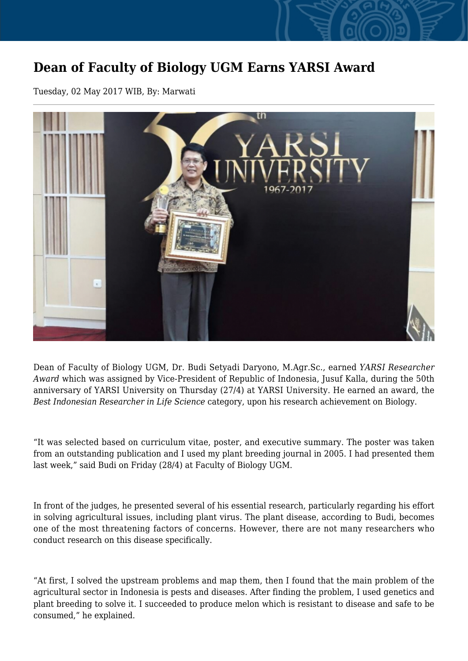## **Dean of Faculty of Biology UGM Earns YARSI Award**

Tuesday, 02 May 2017 WIB, By: Marwati



Dean of Faculty of Biology UGM, Dr. Budi Setyadi Daryono, M.Agr.Sc., earned *YARSI Researcher Award* which was assigned by Vice-President of Republic of Indonesia, Jusuf Kalla, during the 50th anniversary of YARSI University on Thursday (27/4) at YARSI University. He earned an award, the *Best Indonesian Researcher in Life Science* category, upon his research achievement on Biology.

"It was selected based on curriculum vitae, poster, and executive summary. The poster was taken from an outstanding publication and I used my plant breeding journal in 2005. I had presented them last week," said Budi on Friday (28/4) at Faculty of Biology UGM.

In front of the judges, he presented several of his essential research, particularly regarding his effort in solving agricultural issues, including plant virus. The plant disease, according to Budi, becomes one of the most threatening factors of concerns. However, there are not many researchers who conduct research on this disease specifically.

"At first, I solved the upstream problems and map them, then I found that the main problem of the agricultural sector in Indonesia is pests and diseases. After finding the problem, I used genetics and plant breeding to solve it. I succeeded to produce melon which is resistant to disease and safe to be consumed," he explained.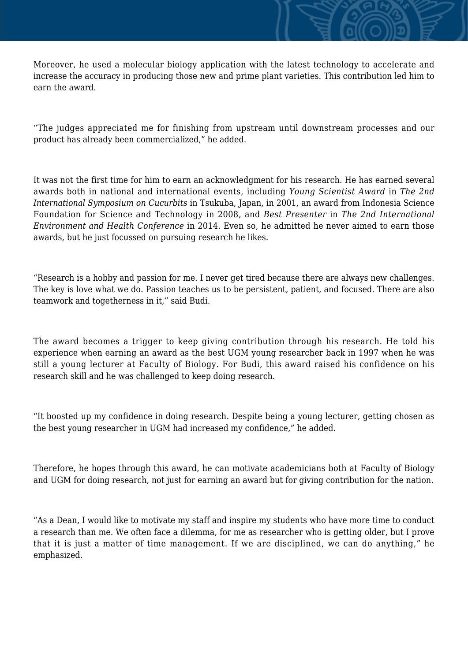Moreover, he used a molecular biology application with the latest technology to accelerate and increase the accuracy in producing those new and prime plant varieties. This contribution led him to earn the award.

"The judges appreciated me for finishing from upstream until downstream processes and our product has already been commercialized," he added.

It was not the first time for him to earn an acknowledgment for his research. He has earned several awards both in national and international events, including *Young Scientist Award* in *The 2nd International Symposium on Cucurbits* in Tsukuba, Japan, in 2001, an award from Indonesia Science Foundation for Science and Technology in 2008, and *Best Presenter* in *The 2nd International Environment and Health Conference* in 2014. Even so, he admitted he never aimed to earn those awards, but he just focussed on pursuing research he likes.

"Research is a hobby and passion for me. I never get tired because there are always new challenges. The key is love what we do. Passion teaches us to be persistent, patient, and focused. There are also teamwork and togetherness in it," said Budi.

The award becomes a trigger to keep giving contribution through his research. He told his experience when earning an award as the best UGM young researcher back in 1997 when he was still a young lecturer at Faculty of Biology. For Budi, this award raised his confidence on his research skill and he was challenged to keep doing research.

"It boosted up my confidence in doing research. Despite being a young lecturer, getting chosen as the best young researcher in UGM had increased my confidence," he added.

Therefore, he hopes through this award, he can motivate academicians both at Faculty of Biology and UGM for doing research, not just for earning an award but for giving contribution for the nation.

"As a Dean, I would like to motivate my staff and inspire my students who have more time to conduct a research than me. We often face a dilemma, for me as researcher who is getting older, but I prove that it is just a matter of time management. If we are disciplined, we can do anything," he emphasized.